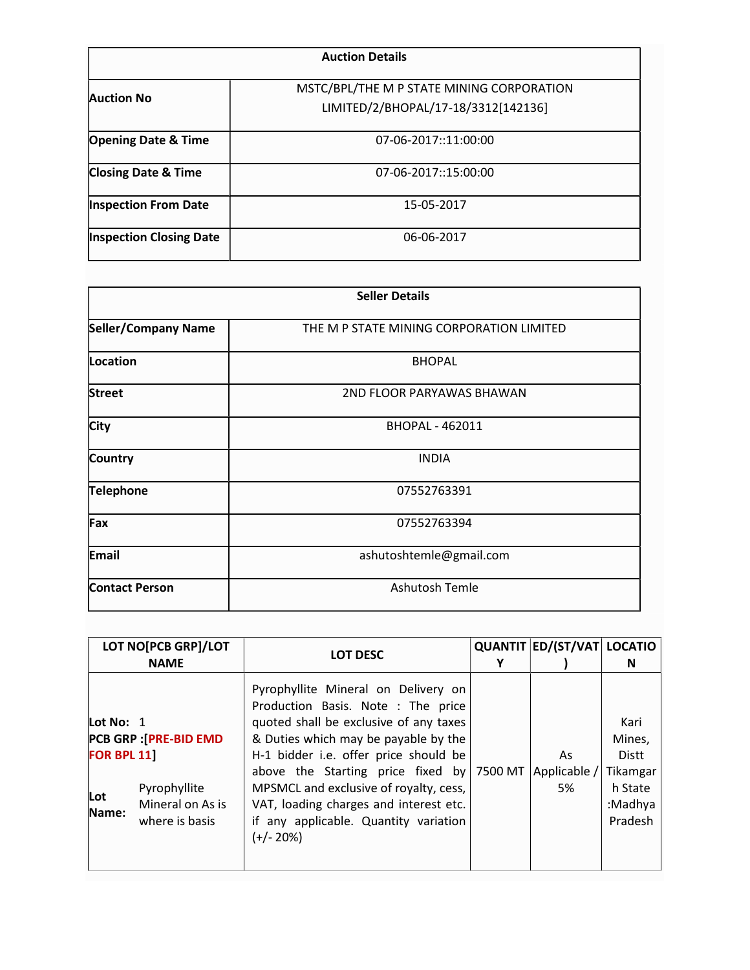| <b>Auction Details</b>         |                                                                                  |  |  |  |
|--------------------------------|----------------------------------------------------------------------------------|--|--|--|
| <b>Auction No</b>              | MSTC/BPL/THE M P STATE MINING CORPORATION<br>LIMITED/2/BHOPAL/17-18/3312[142136] |  |  |  |
| <b>Opening Date &amp; Time</b> | 07-06-2017::11:00:00                                                             |  |  |  |
| <b>Closing Date &amp; Time</b> | 07-06-2017::15:00:00                                                             |  |  |  |
| <b>Inspection From Date</b>    | 15-05-2017                                                                       |  |  |  |
| <b>Inspection Closing Date</b> | 06-06-2017                                                                       |  |  |  |
|                                |                                                                                  |  |  |  |

|                            | <b>Seller Details</b>                    |  |
|----------------------------|------------------------------------------|--|
| <b>Seller/Company Name</b> | THE M P STATE MINING CORPORATION LIMITED |  |
| <b>Location</b>            | <b>BHOPAL</b>                            |  |
| <b>Street</b>              | 2ND FLOOR PARYAWAS BHAWAN                |  |
| City                       | <b>BHOPAL - 462011</b>                   |  |
| <b>Country</b>             | <b>INDIA</b>                             |  |
| <b>Telephone</b>           | 07552763391                              |  |
| Fax                        | 07552763394                              |  |
| <b>Email</b>               | ashutoshtemle@gmail.com                  |  |
| <b>Contact Person</b>      | Ashutosh Temle                           |  |

|                                                  | LOT NO[PCB GRP]/LOT<br><b>NAME</b>                                                  | <b>LOT DESC</b>                                                                                                                                                                                                                                                                                                                                                                               | QUANTIT ED/(ST/VAT LOCATIO | N                                                                    |
|--------------------------------------------------|-------------------------------------------------------------------------------------|-----------------------------------------------------------------------------------------------------------------------------------------------------------------------------------------------------------------------------------------------------------------------------------------------------------------------------------------------------------------------------------------------|----------------------------|----------------------------------------------------------------------|
| Lot No: $1$<br><b>FOR BPL 11</b><br>Lot<br>Name: | <b>PCB GRP : [PRE-BID EMD</b><br>Pyrophyllite<br>Mineral on As is<br>where is basis | Pyrophyllite Mineral on Delivery on<br>Production Basis. Note : The price<br>quoted shall be exclusive of any taxes<br>& Duties which may be payable by the<br>H-1 bidder i.e. offer price should be<br>above the Starting price fixed by 7500 MT<br>MPSMCL and exclusive of royalty, cess,<br>VAT, loading charges and interest etc.<br>if any applicable. Quantity variation<br>$(+/- 20%)$ | As<br>Applicable /<br>5%   | Kari<br>Mines,<br>Distt<br>Tikamgar<br>h State<br>:Madhya<br>Pradesh |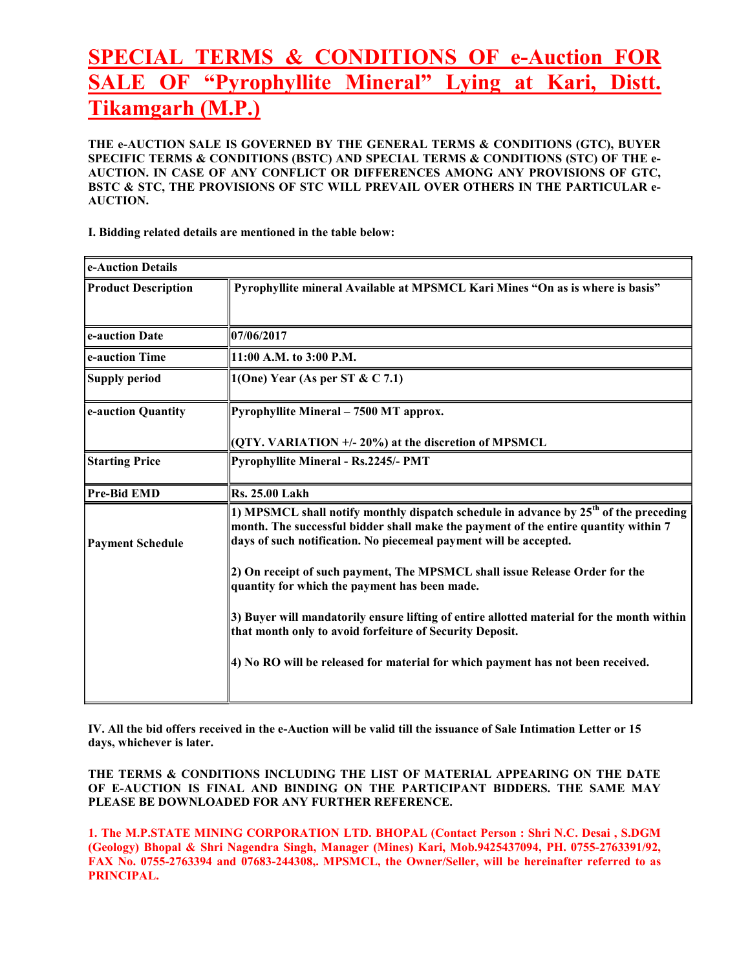# SPECIAL TERMS & CONDITIONS OF e-Auction FOR SALE OF "Pyrophyllite Mineral" Lying at Kari, Distt. Tikamgarh (M.P.)

THE e-AUCTION SALE IS GOVERNED BY THE GENERAL TERMS & CONDITIONS (GTC), BUYER SPECIFIC TERMS & CONDITIONS (BSTC) AND SPECIAL TERMS & CONDITIONS (STC) OF THE e-AUCTION. IN CASE OF ANY CONFLICT OR DIFFERENCES AMONG ANY PROVISIONS OF GTC, BSTC & STC, THE PROVISIONS OF STC WILL PREVAIL OVER OTHERS IN THE PARTICULAR e-AUCTION.

I. Bidding related details are mentioned in the table below:

| e-Auction Details          |                                                                                                                                                                                                                                                    |  |
|----------------------------|----------------------------------------------------------------------------------------------------------------------------------------------------------------------------------------------------------------------------------------------------|--|
| <b>Product Description</b> | Pyrophyllite mineral Available at MPSMCL Kari Mines "On as is where is basis"                                                                                                                                                                      |  |
| e-auction Date             | 07/06/2017                                                                                                                                                                                                                                         |  |
| e-auction Time             | 11:00 A.M. to 3:00 P.M.                                                                                                                                                                                                                            |  |
| <b>Supply period</b>       | 1(One) Year (As per ST & C 7.1)                                                                                                                                                                                                                    |  |
| e-auction Quantity         | Pyrophyllite Mineral - 7500 MT approx.                                                                                                                                                                                                             |  |
|                            | (QTY. VARIATION +/-20%) at the discretion of MPSMCL                                                                                                                                                                                                |  |
| <b>Starting Price</b>      | <b>Pyrophyllite Mineral - Rs.2245/- PMT</b>                                                                                                                                                                                                        |  |
| <b>Pre-Bid EMD</b>         | <b>Rs. 25.00 Lakh</b>                                                                                                                                                                                                                              |  |
| <b>Payment Schedule</b>    | 1) MPSMCL shall notify monthly dispatch schedule in advance by $25th$ of the preceding<br>month. The successful bidder shall make the payment of the entire quantity within 7<br>days of such notification. No piecemeal payment will be accepted. |  |
|                            | 2) On receipt of such payment, The MPSMCL shall issue Release Order for the<br>quantity for which the payment has been made.                                                                                                                       |  |
|                            | 3) Buyer will mandatorily ensure lifting of entire allotted material for the month within<br>that month only to avoid forfeiture of Security Deposit.                                                                                              |  |
|                            | 4) No RO will be released for material for which payment has not been received.                                                                                                                                                                    |  |

IV. All the bid offers received in the e-Auction will be valid till the issuance of Sale Intimation Letter or 15 days, whichever is later.

THE TERMS & CONDITIONS INCLUDING THE LIST OF MATERIAL APPEARING ON THE DATE OF E-AUCTION IS FINAL AND BINDING ON THE PARTICIPANT BIDDERS. THE SAME MAY PLEASE BE DOWNLOADED FOR ANY FURTHER REFERENCE.

1. The M.P.STATE MINING CORPORATION LTD. BHOPAL (Contact Person : Shri N.C. Desai , S.DGM (Geology) Bhopal & Shri Nagendra Singh, Manager (Mines) Kari, Mob.9425437094, PH. 0755-2763391/92, FAX No. 0755-2763394 and 07683-244308,. MPSMCL, the Owner/Seller, will be hereinafter referred to as PRINCIPAL.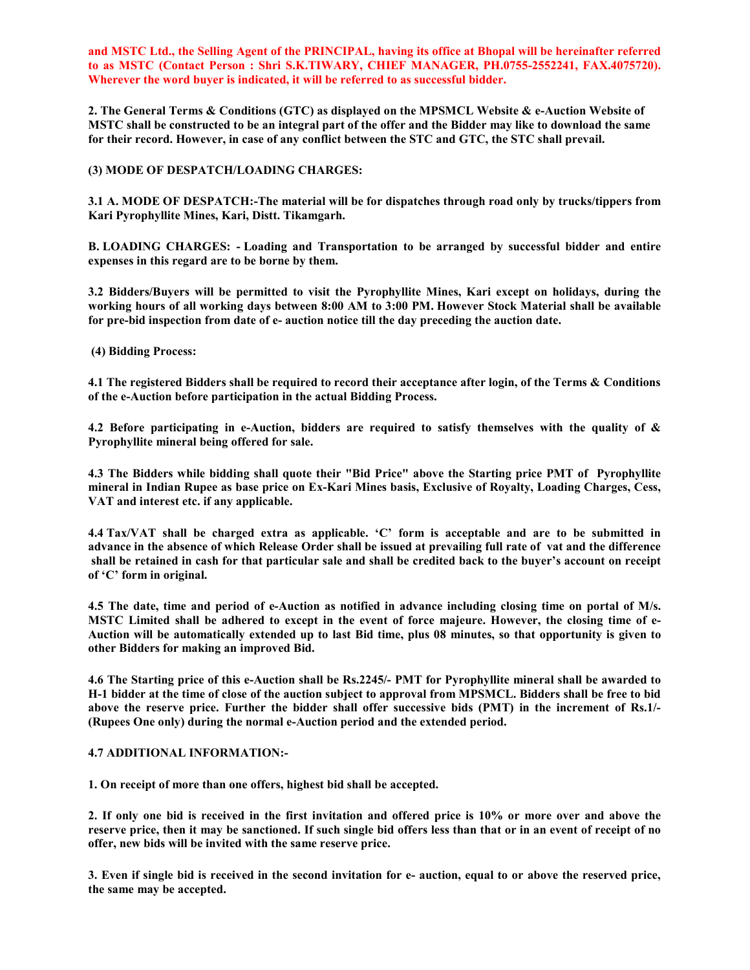and MSTC Ltd., the Selling Agent of the PRINCIPAL, having its office at Bhopal will be hereinafter referred to as MSTC (Contact Person : Shri S.K.TIWARY, CHIEF MANAGER, PH.0755-2552241, FAX.4075720). Wherever the word buyer is indicated, it will be referred to as successful bidder.

2. The General Terms & Conditions (GTC) as displayed on the MPSMCL Website & e-Auction Website of MSTC shall be constructed to be an integral part of the offer and the Bidder may like to download the same for their record. However, in case of any conflict between the STC and GTC, the STC shall prevail.

## (3) MODE OF DESPATCH/LOADING CHARGES:

3.1 A. MODE OF DESPATCH:-The material will be for dispatches through road only by trucks/tippers from Kari Pyrophyllite Mines, Kari, Distt. Tikamgarh.

B. LOADING CHARGES: - Loading and Transportation to be arranged by successful bidder and entire expenses in this regard are to be borne by them.

3.2 Bidders/Buyers will be permitted to visit the Pyrophyllite Mines, Kari except on holidays, during the working hours of all working days between 8:00 AM to 3:00 PM. However Stock Material shall be available for pre-bid inspection from date of e- auction notice till the day preceding the auction date.

(4) Bidding Process:

4.1 The registered Bidders shall be required to record their acceptance after login, of the Terms & Conditions of the e-Auction before participation in the actual Bidding Process.

4.2 Before participating in e-Auction, bidders are required to satisfy themselves with the quality of & Pyrophyllite mineral being offered for sale.

4.3 The Bidders while bidding shall quote their "Bid Price" above the Starting price PMT of Pyrophyllite mineral in Indian Rupee as base price on Ex-Kari Mines basis, Exclusive of Royalty, Loading Charges, Cess, VAT and interest etc. if any applicable.

4.4 Tax/VAT shall be charged extra as applicable. 'C' form is acceptable and are to be submitted in advance in the absence of which Release Order shall be issued at prevailing full rate of vat and the difference shall be retained in cash for that particular sale and shall be credited back to the buyer's account on receipt of 'C' form in original.

4.5 The date, time and period of e-Auction as notified in advance including closing time on portal of M/s. MSTC Limited shall be adhered to except in the event of force majeure. However, the closing time of e-Auction will be automatically extended up to last Bid time, plus 08 minutes, so that opportunity is given to other Bidders for making an improved Bid.

4.6 The Starting price of this e-Auction shall be Rs.2245/- PMT for Pyrophyllite mineral shall be awarded to H-1 bidder at the time of close of the auction subject to approval from MPSMCL. Bidders shall be free to bid above the reserve price. Further the bidder shall offer successive bids (PMT) in the increment of Rs.1/- (Rupees One only) during the normal e-Auction period and the extended period.

#### 4.7 ADDITIONAL INFORMATION:-

1. On receipt of more than one offers, highest bid shall be accepted.

2. If only one bid is received in the first invitation and offered price is 10% or more over and above the reserve price, then it may be sanctioned. If such single bid offers less than that or in an event of receipt of no offer, new bids will be invited with the same reserve price.

3. Even if single bid is received in the second invitation for e- auction, equal to or above the reserved price, the same may be accepted.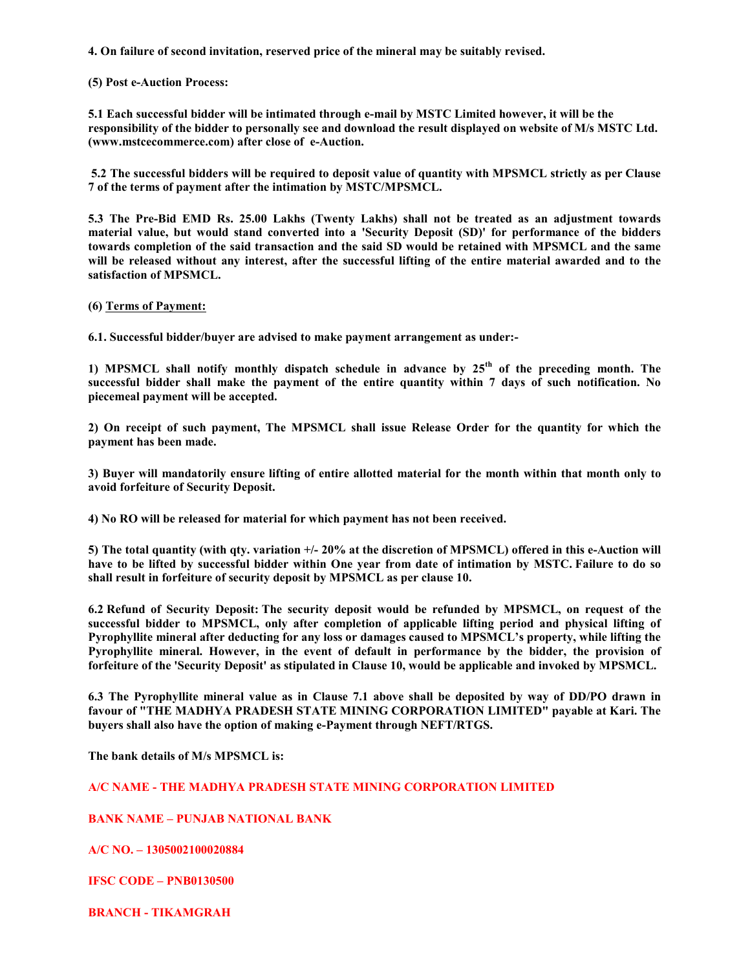4. On failure of second invitation, reserved price of the mineral may be suitably revised.

#### (5) Post e-Auction Process:

5.1 Each successful bidder will be intimated through e-mail by MSTC Limited however, it will be the responsibility of the bidder to personally see and download the result displayed on website of M/s MSTC Ltd. (www.mstcecommerce.com) after close of e-Auction.

 5.2 The successful bidders will be required to deposit value of quantity with MPSMCL strictly as per Clause 7 of the terms of payment after the intimation by MSTC/MPSMCL.

5.3 The Pre-Bid EMD Rs. 25.00 Lakhs (Twenty Lakhs) shall not be treated as an adjustment towards material value, but would stand converted into a 'Security Deposit (SD)' for performance of the bidders towards completion of the said transaction and the said SD would be retained with MPSMCL and the same will be released without any interest, after the successful lifting of the entire material awarded and to the satisfaction of MPSMCL.

#### (6) Terms of Payment:

6.1. Successful bidder/buyer are advised to make payment arrangement as under:-

1) MPSMCL shall notify monthly dispatch schedule in advance by  $25<sup>th</sup>$  of the preceding month. The successful bidder shall make the payment of the entire quantity within 7 days of such notification. No piecemeal payment will be accepted.

2) On receipt of such payment, The MPSMCL shall issue Release Order for the quantity for which the payment has been made.

3) Buyer will mandatorily ensure lifting of entire allotted material for the month within that month only to avoid forfeiture of Security Deposit.

4) No RO will be released for material for which payment has not been received.

5) The total quantity (with qty. variation +/- 20% at the discretion of MPSMCL) offered in this e-Auction will have to be lifted by successful bidder within One year from date of intimation by MSTC. Failure to do so shall result in forfeiture of security deposit by MPSMCL as per clause 10.

6.2 Refund of Security Deposit: The security deposit would be refunded by MPSMCL, on request of the successful bidder to MPSMCL, only after completion of applicable lifting period and physical lifting of Pyrophyllite mineral after deducting for any loss or damages caused to MPSMCL's property, while lifting the Pyrophyllite mineral. However, in the event of default in performance by the bidder, the provision of forfeiture of the 'Security Deposit' as stipulated in Clause 10, would be applicable and invoked by MPSMCL.

6.3 The Pyrophyllite mineral value as in Clause 7.1 above shall be deposited by way of DD/PO drawn in favour of "THE MADHYA PRADESH STATE MINING CORPORATION LIMITED" payable at Kari. The buyers shall also have the option of making e-Payment through NEFT/RTGS.

The bank details of M/s MPSMCL is:

# A/C NAME - THE MADHYA PRADESH STATE MINING CORPORATION LIMITED

# BANK NAME – PUNJAB NATIONAL BANK

A/C NO. – 1305002100020884

IFSC CODE – PNB0130500

BRANCH - TIKAMGRAH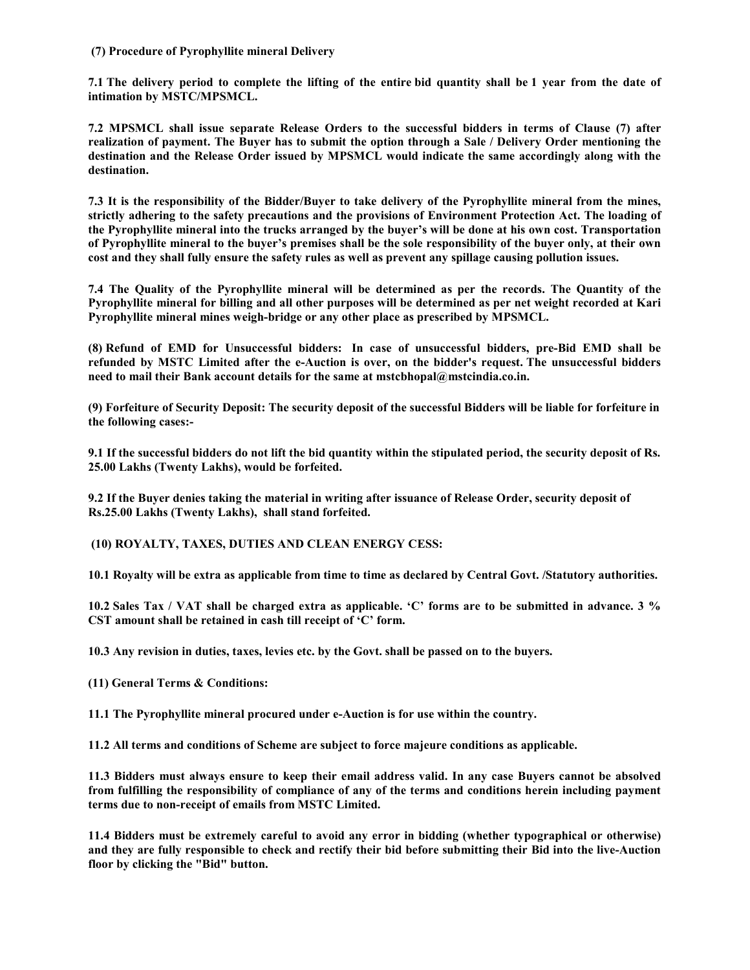## (7) Procedure of Pyrophyllite mineral Delivery

7.1 The delivery period to complete the lifting of the entire bid quantity shall be 1 year from the date of intimation by MSTC/MPSMCL.

7.2 MPSMCL shall issue separate Release Orders to the successful bidders in terms of Clause (7) after realization of payment. The Buyer has to submit the option through a Sale / Delivery Order mentioning the destination and the Release Order issued by MPSMCL would indicate the same accordingly along with the destination.

7.3 It is the responsibility of the Bidder/Buyer to take delivery of the Pyrophyllite mineral from the mines, strictly adhering to the safety precautions and the provisions of Environment Protection Act. The loading of the Pyrophyllite mineral into the trucks arranged by the buyer's will be done at his own cost. Transportation of Pyrophyllite mineral to the buyer's premises shall be the sole responsibility of the buyer only, at their own cost and they shall fully ensure the safety rules as well as prevent any spillage causing pollution issues.

7.4 The Quality of the Pyrophyllite mineral will be determined as per the records. The Quantity of the Pyrophyllite mineral for billing and all other purposes will be determined as per net weight recorded at Kari Pyrophyllite mineral mines weigh-bridge or any other place as prescribed by MPSMCL.

(8) Refund of EMD for Unsuccessful bidders: In case of unsuccessful bidders, pre-Bid EMD shall be refunded by MSTC Limited after the e-Auction is over, on the bidder's request. The unsuccessful bidders need to mail their Bank account details for the same at mstcbhopal@mstcindia.co.in.

(9) Forfeiture of Security Deposit: The security deposit of the successful Bidders will be liable for forfeiture in the following cases:-

9.1 If the successful bidders do not lift the bid quantity within the stipulated period, the security deposit of Rs. 25.00 Lakhs (Twenty Lakhs), would be forfeited.

9.2 If the Buyer denies taking the material in writing after issuance of Release Order, security deposit of Rs.25.00 Lakhs (Twenty Lakhs), shall stand forfeited.

(10) ROYALTY, TAXES, DUTIES AND CLEAN ENERGY CESS:

10.1 Royalty will be extra as applicable from time to time as declared by Central Govt. /Statutory authorities.

10.2 Sales Tax / VAT shall be charged extra as applicable. 'C' forms are to be submitted in advance. 3 % CST amount shall be retained in cash till receipt of 'C' form.

10.3 Any revision in duties, taxes, levies etc. by the Govt. shall be passed on to the buyers.

(11) General Terms & Conditions:

11.1 The Pyrophyllite mineral procured under e-Auction is for use within the country.

11.2 All terms and conditions of Scheme are subject to force majeure conditions as applicable.

11.3 Bidders must always ensure to keep their email address valid. In any case Buyers cannot be absolved from fulfilling the responsibility of compliance of any of the terms and conditions herein including payment terms due to non-receipt of emails from MSTC Limited.

11.4 Bidders must be extremely careful to avoid any error in bidding (whether typographical or otherwise) and they are fully responsible to check and rectify their bid before submitting their Bid into the live-Auction floor by clicking the "Bid" button.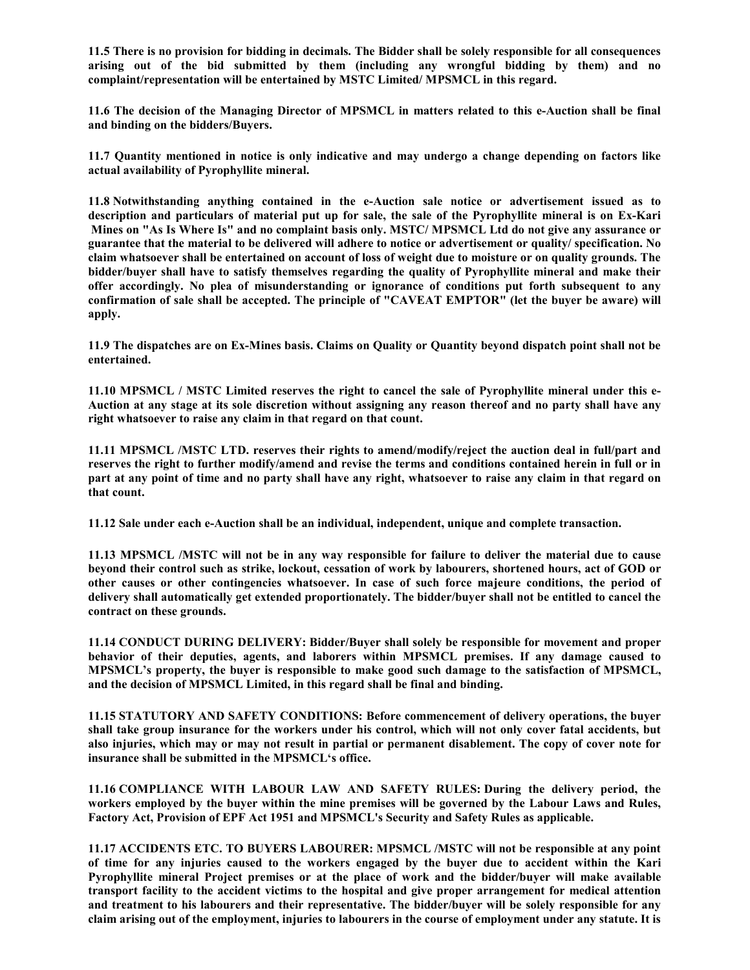11.5 There is no provision for bidding in decimals. The Bidder shall be solely responsible for all consequences arising out of the bid submitted by them (including any wrongful bidding by them) and no complaint/representation will be entertained by MSTC Limited/ MPSMCL in this regard.

11.6 The decision of the Managing Director of MPSMCL in matters related to this e-Auction shall be final and binding on the bidders/Buyers.

11.7 Quantity mentioned in notice is only indicative and may undergo a change depending on factors like actual availability of Pyrophyllite mineral.

11.8 Notwithstanding anything contained in the e-Auction sale notice or advertisement issued as to description and particulars of material put up for sale, the sale of the Pyrophyllite mineral is on Ex-Kari Mines on "As Is Where Is" and no complaint basis only. MSTC/ MPSMCL Ltd do not give any assurance or guarantee that the material to be delivered will adhere to notice or advertisement or quality/ specification. No claim whatsoever shall be entertained on account of loss of weight due to moisture or on quality grounds. The bidder/buyer shall have to satisfy themselves regarding the quality of Pyrophyllite mineral and make their offer accordingly. No plea of misunderstanding or ignorance of conditions put forth subsequent to any confirmation of sale shall be accepted. The principle of "CAVEAT EMPTOR" (let the buyer be aware) will apply.

11.9 The dispatches are on Ex-Mines basis. Claims on Quality or Quantity beyond dispatch point shall not be entertained.

11.10 MPSMCL / MSTC Limited reserves the right to cancel the sale of Pyrophyllite mineral under this e-Auction at any stage at its sole discretion without assigning any reason thereof and no party shall have any right whatsoever to raise any claim in that regard on that count.

11.11 MPSMCL /MSTC LTD. reserves their rights to amend/modify/reject the auction deal in full/part and reserves the right to further modify/amend and revise the terms and conditions contained herein in full or in part at any point of time and no party shall have any right, whatsoever to raise any claim in that regard on that count.

11.12 Sale under each e-Auction shall be an individual, independent, unique and complete transaction.

11.13 MPSMCL /MSTC will not be in any way responsible for failure to deliver the material due to cause beyond their control such as strike, lockout, cessation of work by labourers, shortened hours, act of GOD or other causes or other contingencies whatsoever. In case of such force majeure conditions, the period of delivery shall automatically get extended proportionately. The bidder/buyer shall not be entitled to cancel the contract on these grounds.

11.14 CONDUCT DURING DELIVERY: Bidder/Buyer shall solely be responsible for movement and proper behavior of their deputies, agents, and laborers within MPSMCL premises. If any damage caused to MPSMCL's property, the buyer is responsible to make good such damage to the satisfaction of MPSMCL, and the decision of MPSMCL Limited, in this regard shall be final and binding.

11.15 STATUTORY AND SAFETY CONDITIONS: Before commencement of delivery operations, the buyer shall take group insurance for the workers under his control, which will not only cover fatal accidents, but also injuries, which may or may not result in partial or permanent disablement. The copy of cover note for insurance shall be submitted in the MPSMCL's office.

11.16 COMPLIANCE WITH LABOUR LAW AND SAFETY RULES: During the delivery period, the workers employed by the buyer within the mine premises will be governed by the Labour Laws and Rules, Factory Act, Provision of EPF Act 1951 and MPSMCL's Security and Safety Rules as applicable.

11.17 ACCIDENTS ETC. TO BUYERS LABOURER: MPSMCL /MSTC will not be responsible at any point of time for any injuries caused to the workers engaged by the buyer due to accident within the Kari Pyrophyllite mineral Project premises or at the place of work and the bidder/buyer will make available transport facility to the accident victims to the hospital and give proper arrangement for medical attention and treatment to his labourers and their representative. The bidder/buyer will be solely responsible for any claim arising out of the employment, injuries to labourers in the course of employment under any statute. It is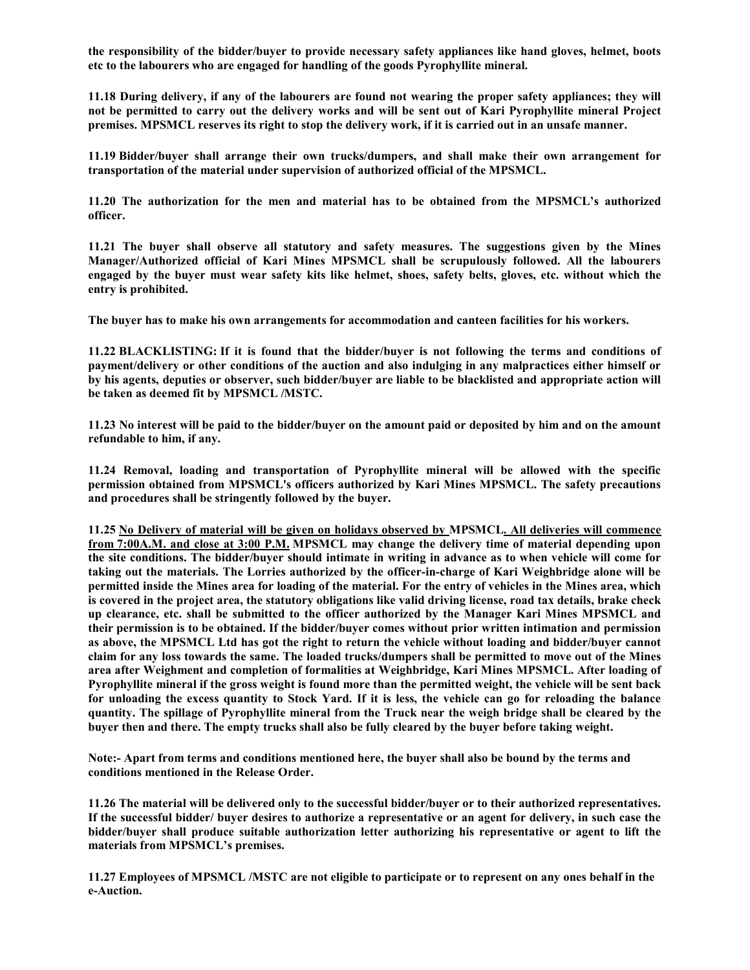the responsibility of the bidder/buyer to provide necessary safety appliances like hand gloves, helmet, boots etc to the labourers who are engaged for handling of the goods Pyrophyllite mineral.

11.18 During delivery, if any of the labourers are found not wearing the proper safety appliances; they will not be permitted to carry out the delivery works and will be sent out of Kari Pyrophyllite mineral Project premises. MPSMCL reserves its right to stop the delivery work, if it is carried out in an unsafe manner.

11.19 Bidder/buyer shall arrange their own trucks/dumpers, and shall make their own arrangement for transportation of the material under supervision of authorized official of the MPSMCL.

11.20 The authorization for the men and material has to be obtained from the MPSMCL's authorized officer.

11.21 The buyer shall observe all statutory and safety measures. The suggestions given by the Mines Manager/Authorized official of Kari Mines MPSMCL shall be scrupulously followed. All the labourers engaged by the buyer must wear safety kits like helmet, shoes, safety belts, gloves, etc. without which the entry is prohibited.

The buyer has to make his own arrangements for accommodation and canteen facilities for his workers.

11.22 BLACKLISTING: If it is found that the bidder/buyer is not following the terms and conditions of payment/delivery or other conditions of the auction and also indulging in any malpractices either himself or by his agents, deputies or observer, such bidder/buyer are liable to be blacklisted and appropriate action will be taken as deemed fit by MPSMCL /MSTC.

11.23 No interest will be paid to the bidder/buyer on the amount paid or deposited by him and on the amount refundable to him, if any.

11.24 Removal, loading and transportation of Pyrophyllite mineral will be allowed with the specific permission obtained from MPSMCL's officers authorized by Kari Mines MPSMCL. The safety precautions and procedures shall be stringently followed by the buyer.

11.25 No Delivery of material will be given on holidays observed by MPSMCL. All deliveries will commence from 7:00A.M. and close at 3:00 P.M. MPSMCL may change the delivery time of material depending upon the site conditions. The bidder/buyer should intimate in writing in advance as to when vehicle will come for taking out the materials. The Lorries authorized by the officer-in-charge of Kari Weighbridge alone will be permitted inside the Mines area for loading of the material. For the entry of vehicles in the Mines area, which is covered in the project area, the statutory obligations like valid driving license, road tax details, brake check up clearance, etc. shall be submitted to the officer authorized by the Manager Kari Mines MPSMCL and their permission is to be obtained. If the bidder/buyer comes without prior written intimation and permission as above, the MPSMCL Ltd has got the right to return the vehicle without loading and bidder/buyer cannot claim for any loss towards the same. The loaded trucks/dumpers shall be permitted to move out of the Mines area after Weighment and completion of formalities at Weighbridge, Kari Mines MPSMCL. After loading of Pyrophyllite mineral if the gross weight is found more than the permitted weight, the vehicle will be sent back for unloading the excess quantity to Stock Yard. If it is less, the vehicle can go for reloading the balance quantity. The spillage of Pyrophyllite mineral from the Truck near the weigh bridge shall be cleared by the buyer then and there. The empty trucks shall also be fully cleared by the buyer before taking weight.

Note:- Apart from terms and conditions mentioned here, the buyer shall also be bound by the terms and conditions mentioned in the Release Order.

11.26 The material will be delivered only to the successful bidder/buyer or to their authorized representatives. If the successful bidder/ buyer desires to authorize a representative or an agent for delivery, in such case the bidder/buyer shall produce suitable authorization letter authorizing his representative or agent to lift the materials from MPSMCL's premises.

11.27 Employees of MPSMCL /MSTC are not eligible to participate or to represent on any ones behalf in the e-Auction.